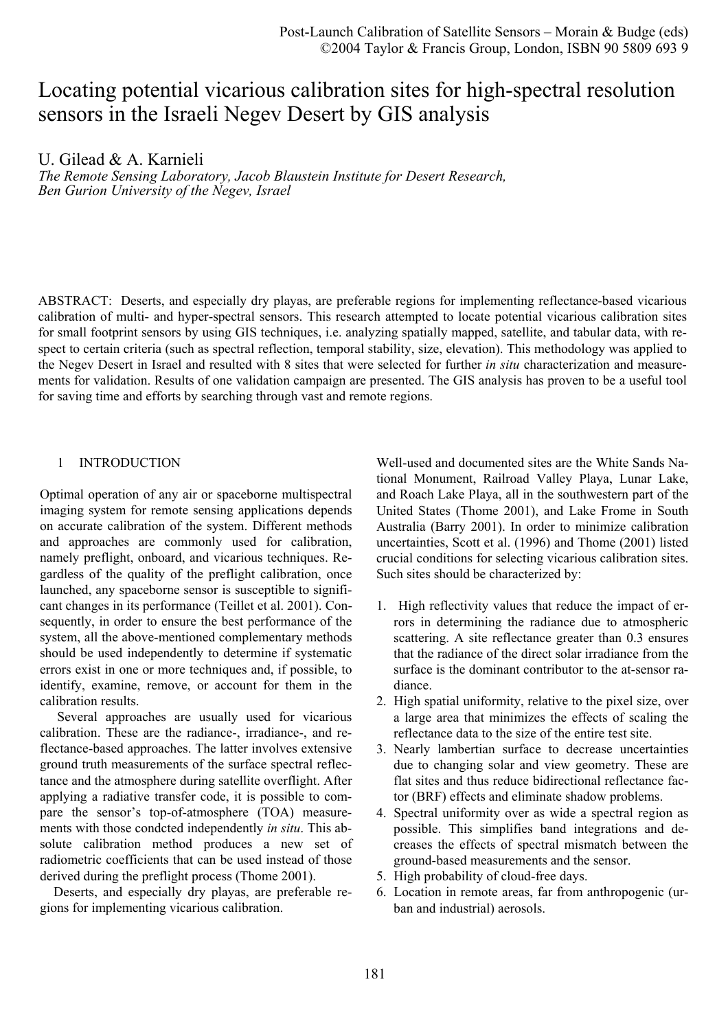# Locating potential vicarious calibration sites for high-spectral resolution sensors in the Israeli Negev Desert by GIS analysis

U. Gilead & A. Karnieli

*The Remote Sensing Laboratory, Jacob Blaustein Institute for Desert Research, Ben Gurion University of the Negev, Israel* 

ABSTRACT: Deserts, and especially dry playas, are preferable regions for implementing reflectance-based vicarious calibration of multi- and hyper-spectral sensors. This research attempted to locate potential vicarious calibration sites for small footprint sensors by using GIS techniques, i.e. analyzing spatially mapped, satellite, and tabular data, with respect to certain criteria (such as spectral reflection, temporal stability, size, elevation). This methodology was applied to the Negev Desert in Israel and resulted with 8 sites that were selected for further *in situ* characterization and measurements for validation. Results of one validation campaign are presented. The GIS analysis has proven to be a useful tool for saving time and efforts by searching through vast and remote regions.

## 1 INTRODUCTION

Optimal operation of any air or spaceborne multispectral imaging system for remote sensing applications depends on accurate calibration of the system. Different methods and approaches are commonly used for calibration, namely preflight, onboard, and vicarious techniques. Regardless of the quality of the preflight calibration, once launched, any spaceborne sensor is susceptible to significant changes in its performance (Teillet et al. 2001). Consequently, in order to ensure the best performance of the system, all the above-mentioned complementary methods should be used independently to determine if systematic errors exist in one or more techniques and, if possible, to identify, examine, remove, or account for them in the calibration results.

Several approaches are usually used for vicarious calibration. These are the radiance-, irradiance-, and reflectance-based approaches. The latter involves extensive ground truth measurements of the surface spectral reflectance and the atmosphere during satellite overflight. After applying a radiative transfer code, it is possible to compare the sensor's top-of-atmosphere (TOA) measurements with those condcted independently *in situ*. This absolute calibration method produces a new set of radiometric coefficients that can be used instead of those derived during the preflight process (Thome 2001).

Deserts, and especially dry playas, are preferable regions for implementing vicarious calibration.

Well-used and documented sites are the White Sands National Monument, Railroad Valley Playa, Lunar Lake, and Roach Lake Playa, all in the southwestern part of the United States (Thome 2001), and Lake Frome in South Australia (Barry 2001). In order to minimize calibration uncertainties, Scott et al. (1996) and Thome (2001) listed crucial conditions for selecting vicarious calibration sites. Such sites should be characterized by:

- 1. High reflectivity values that reduce the impact of errors in determining the radiance due to atmospheric scattering. A site reflectance greater than 0.3 ensures that the radiance of the direct solar irradiance from the surface is the dominant contributor to the at-sensor radiance.
- 2. High spatial uniformity, relative to the pixel size, over a large area that minimizes the effects of scaling the reflectance data to the size of the entire test site.
- 3. Nearly lambertian surface to decrease uncertainties due to changing solar and view geometry. These are flat sites and thus reduce bidirectional reflectance factor (BRF) effects and eliminate shadow problems.
- 4. Spectral uniformity over as wide a spectral region as possible. This simplifies band integrations and decreases the effects of spectral mismatch between the ground-based measurements and the sensor.
- 5. High probability of cloud-free days.
- 6. Location in remote areas, far from anthropogenic (urban and industrial) aerosols.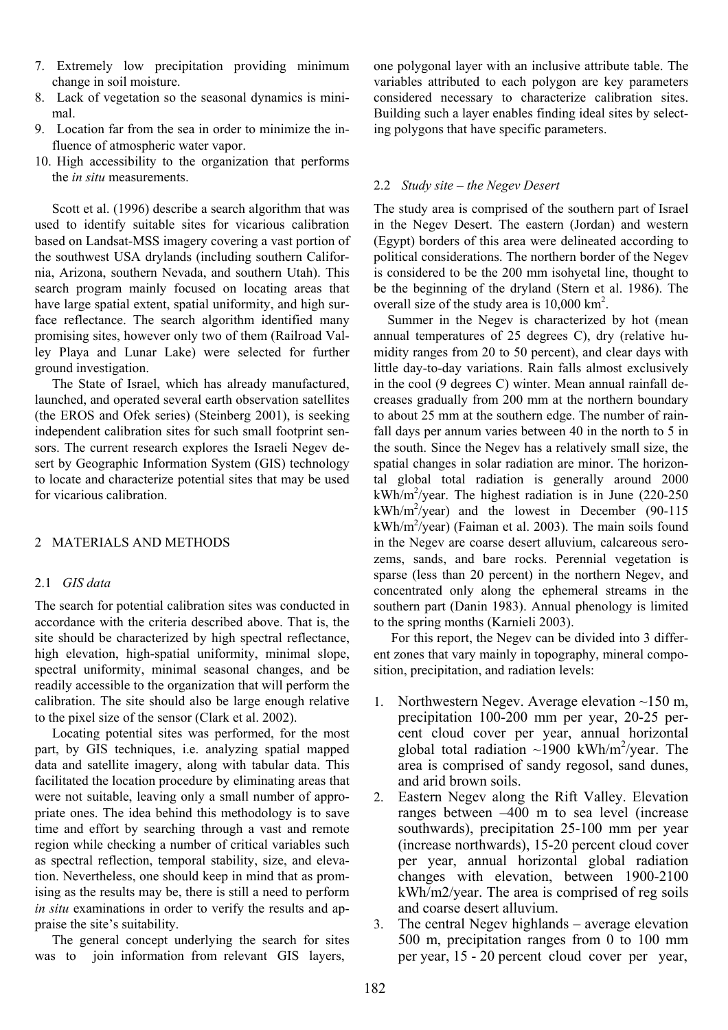- 7. Extremely low precipitation providing minimum change in soil moisture.
- 8. Lack of vegetation so the seasonal dynamics is minimal.
- 9. Location far from the sea in order to minimize the influence of atmospheric water vapor.
- 10. High accessibility to the organization that performs the *in situ* measurements.

Scott et al. (1996) describe a search algorithm that was used to identify suitable sites for vicarious calibration based on Landsat-MSS imagery covering a vast portion of the southwest USA drylands (including southern California, Arizona, southern Nevada, and southern Utah). This search program mainly focused on locating areas that have large spatial extent, spatial uniformity, and high surface reflectance. The search algorithm identified many promising sites, however only two of them (Railroad Valley Playa and Lunar Lake) were selected for further ground investigation.

The State of Israel, which has already manufactured, launched, and operated several earth observation satellites (the EROS and Ofek series) (Steinberg 2001), is seeking independent calibration sites for such small footprint sensors. The current research explores the Israeli Negev desert by Geographic Information System (GIS) technology to locate and characterize potential sites that may be used for vicarious calibration.

# 2 MATERIALS AND METHODS

# 2.1 *GIS data*

The search for potential calibration sites was conducted in accordance with the criteria described above. That is, the site should be characterized by high spectral reflectance, high elevation, high-spatial uniformity, minimal slope, spectral uniformity, minimal seasonal changes, and be readily accessible to the organization that will perform the calibration. The site should also be large enough relative to the pixel size of the sensor (Clark et al. 2002).

Locating potential sites was performed, for the most part, by GIS techniques, i.e. analyzing spatial mapped data and satellite imagery, along with tabular data. This facilitated the location procedure by eliminating areas that were not suitable, leaving only a small number of appropriate ones. The idea behind this methodology is to save time and effort by searching through a vast and remote region while checking a number of critical variables such as spectral reflection, temporal stability, size, and elevation. Nevertheless, one should keep in mind that as promising as the results may be, there is still a need to perform *in situ* examinations in order to verify the results and appraise the site's suitability.

The general concept underlying the search for sites was to join information from relevant GIS layers,

one polygonal layer with an inclusive attribute table. The variables attributed to each polygon are key parameters considered necessary to characterize calibration sites. Building such a layer enables finding ideal sites by selecting polygons that have specific parameters.

## 2.2 *Study site – the Negev Desert*

The study area is comprised of the southern part of Israel in the Negev Desert. The eastern (Jordan) and western (Egypt) borders of this area were delineated according to political considerations. The northern border of the Negev is considered to be the 200 mm isohyetal line, thought to be the beginning of the dryland (Stern et al. 1986). The overall size of the study area is  $10,000 \text{ km}^2$ .

Summer in the Negev is characterized by hot (mean annual temperatures of 25 degrees C), dry (relative humidity ranges from 20 to 50 percent), and clear days with little day-to-day variations. Rain falls almost exclusively in the cool (9 degrees C) winter. Mean annual rainfall decreases gradually from 200 mm at the northern boundary to about 25 mm at the southern edge. The number of rainfall days per annum varies between 40 in the north to 5 in the south. Since the Negev has a relatively small size, the spatial changes in solar radiation are minor. The horizontal global total radiation is generally around 2000 kWh/m<sup>2</sup> /year. The highest radiation is in June (220-250  $kWh/m^2$ /year) and the lowest in December (90-115  $kWh/m^2$ /year) (Faiman et al. 2003). The main soils found in the Negev are coarse desert alluvium, calcareous serozems, sands, and bare rocks. Perennial vegetation is sparse (less than 20 percent) in the northern Negev, and concentrated only along the ephemeral streams in the southern part (Danin 1983). Annual phenology is limited to the spring months (Karnieli 2003).

For this report, the Negev can be divided into 3 different zones that vary mainly in topography, mineral composition, precipitation, and radiation levels:

- 1. Northwestern Negev. Average elevation ~150 m, precipitation 100-200 mm per year, 20-25 percent cloud cover per year, annual horizontal global total radiation  $\sim$ 1900 kWh/m<sup>2</sup>/year. The area is comprised of sandy regosol, sand dunes, and arid brown soils.
- 2. Eastern Negev along the Rift Valley. Elevation ranges between –400 m to sea level (increase southwards), precipitation 25-100 mm per year (increase northwards), 15-20 percent cloud cover per year, annual horizontal global radiation changes with elevation, between 1900-2100 kWh/m2/year. The area is comprised of reg soils and coarse desert alluvium.
- 3. The central Negev highlands average elevation 500 m, precipitation ranges from 0 to 100 mm per year, 15 - 20 percent cloud cover per year,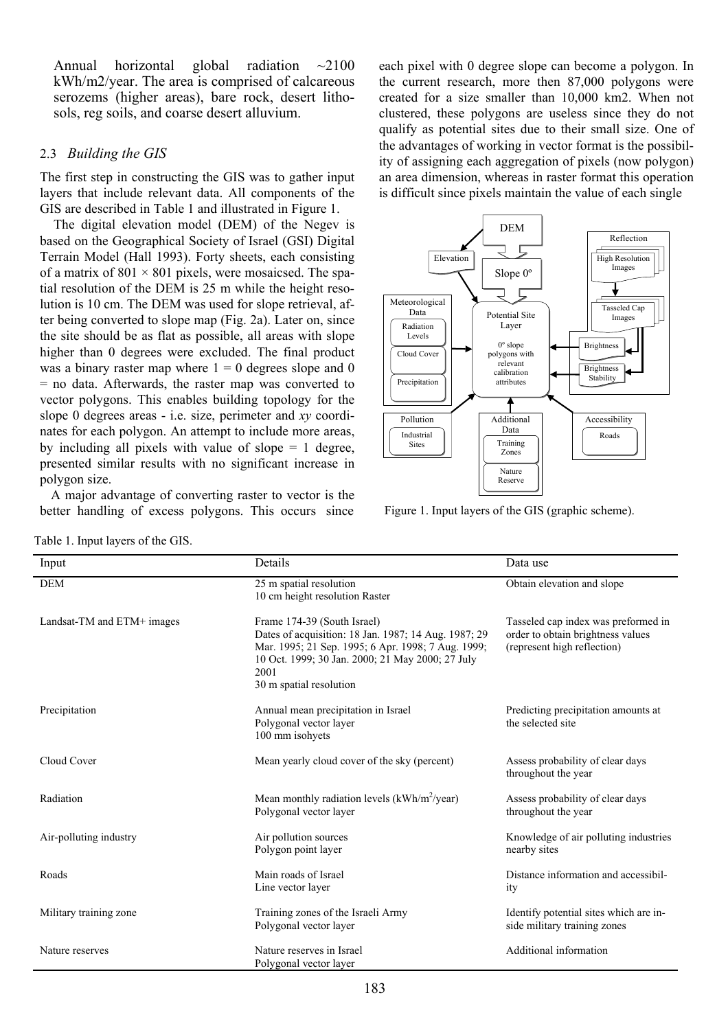Annual horizontal global radiation ~2100 kWh/m2/year. The area is comprised of calcareous serozems (higher areas), bare rock, desert lithosols, reg soils, and coarse desert alluvium.

## 2.3 *Building the GIS*

The first step in constructing the GIS was to gather input layers that include relevant data. All components of the GIS are described in Table 1 and illustrated in Figure 1.

The digital elevation model (DEM) of the Negev is based on the Geographical Society of Israel (GSI) Digital Terrain Model (Hall 1993). Forty sheets, each consisting of a matrix of  $801 \times 801$  pixels, were mosaicsed. The spatial resolution of the DEM is 25 m while the height resolution is 10 cm. The DEM was used for slope retrieval, after being converted to slope map (Fig. 2a). Later on, since the site should be as flat as possible, all areas with slope higher than 0 degrees were excluded. The final product was a binary raster map where  $1 = 0$  degrees slope and 0 = no data. Afterwards, the raster map was converted to vector polygons. This enables building topology for the slope 0 degrees areas - i.e. size, perimeter and *xy* coordinates for each polygon. An attempt to include more areas, by including all pixels with value of slope  $= 1$  degree, presented similar results with no significant increase in polygon size.

 A major advantage of converting raster to vector is the better handling of excess polygons. This occurs since each pixel with 0 degree slope can become a polygon. In the current research, more then 87,000 polygons were created for a size smaller than 10,000 km2. When not clustered, these polygons are useless since they do not qualify as potential sites due to their small size. One of the advantages of working in vector format is the possibility of assigning each aggregation of pixels (now polygon) an area dimension, whereas in raster format this operation is difficult since pixels maintain the value of each single



Figure 1. Input layers of the GIS (graphic scheme).

Table 1. Input layers of the GIS.

| Input                      | Details                                                                                                                                                                                                                          | Data use                                                                                                |
|----------------------------|----------------------------------------------------------------------------------------------------------------------------------------------------------------------------------------------------------------------------------|---------------------------------------------------------------------------------------------------------|
| <b>DEM</b>                 | 25 m spatial resolution<br>10 cm height resolution Raster                                                                                                                                                                        | Obtain elevation and slope                                                                              |
| Landsat-TM and ETM+ images | Frame 174-39 (South Israel)<br>Dates of acquisition: 18 Jan. 1987; 14 Aug. 1987; 29<br>Mar. 1995; 21 Sep. 1995; 6 Apr. 1998; 7 Aug. 1999;<br>10 Oct. 1999; 30 Jan. 2000; 21 May 2000; 27 July<br>2001<br>30 m spatial resolution | Tasseled cap index was preformed in<br>order to obtain brightness values<br>(represent high reflection) |
| Precipitation              | Annual mean precipitation in Israel<br>Polygonal vector layer<br>100 mm isohyets                                                                                                                                                 | Predicting precipitation amounts at<br>the selected site                                                |
| Cloud Cover                | Mean yearly cloud cover of the sky (percent)                                                                                                                                                                                     | Assess probability of clear days<br>throughout the year                                                 |
| Radiation                  | Mean monthly radiation levels ( $kWh/m^2/year$ )<br>Polygonal vector layer                                                                                                                                                       | Assess probability of clear days<br>throughout the year                                                 |
| Air-polluting industry     | Air pollution sources<br>Polygon point layer                                                                                                                                                                                     | Knowledge of air polluting industries<br>nearby sites                                                   |
| Roads                      | Main roads of Israel<br>Line vector layer                                                                                                                                                                                        | Distance information and accessibil-<br>ity                                                             |
| Military training zone     | Training zones of the Israeli Army<br>Polygonal vector layer                                                                                                                                                                     | Identify potential sites which are in-<br>side military training zones                                  |
| Nature reserves            | Nature reserves in Israel<br>Polygonal vector layer                                                                                                                                                                              | Additional information                                                                                  |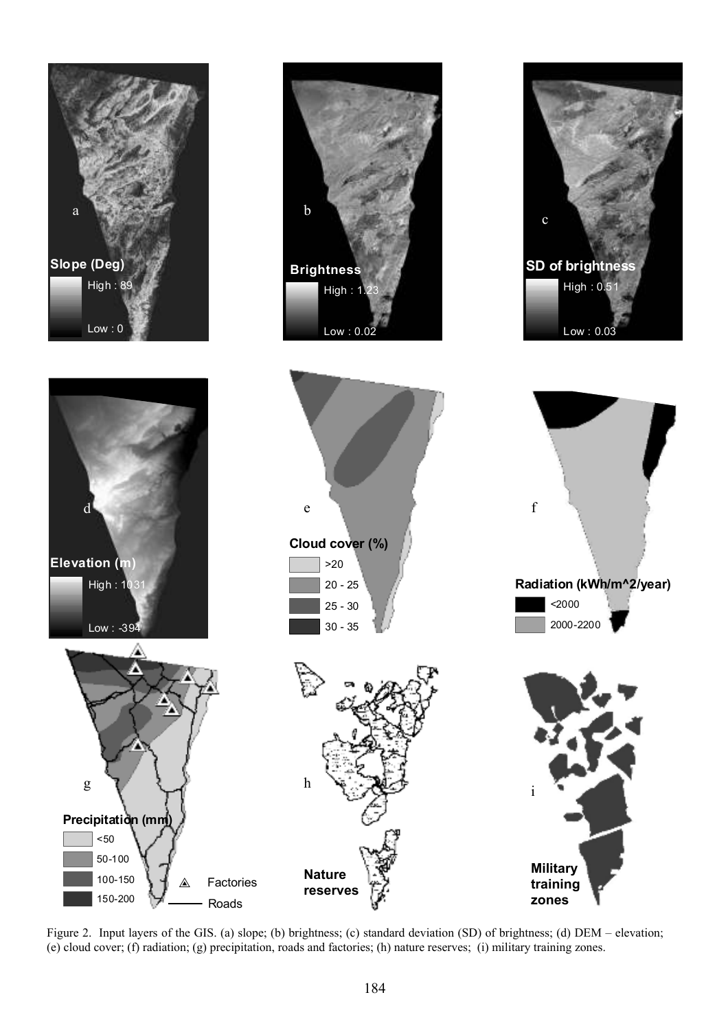

Figure 2. Input layers of the GIS. (a) slope; (b) brightness; (c) standard deviation (SD) of brightness; (d) DEM – elevation; (e) cloud cover; (f) radiation; (g) precipitation, roads and factories; (h) nature reserves; (i) military training zones.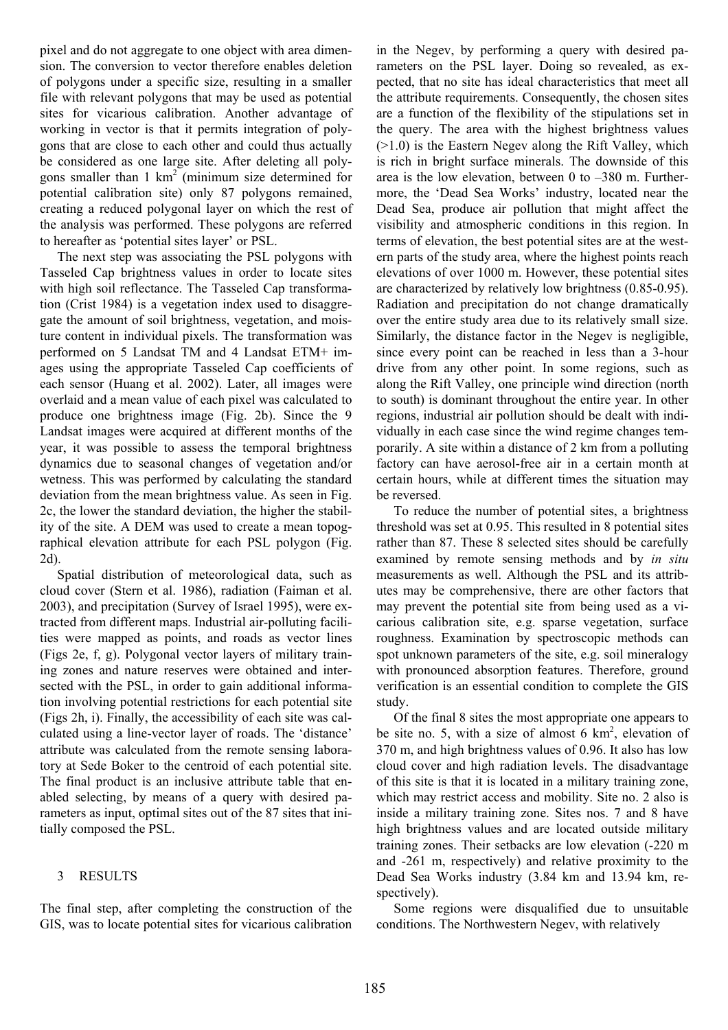pixel and do not aggregate to one object with area dimension. The conversion to vector therefore enables deletion of polygons under a specific size, resulting in a smaller file with relevant polygons that may be used as potential sites for vicarious calibration. Another advantage of working in vector is that it permits integration of polygons that are close to each other and could thus actually be considered as one large site. After deleting all polygons smaller than  $1 \text{ km}^2$  (minimum size determined for potential calibration site) only 87 polygons remained, creating a reduced polygonal layer on which the rest of the analysis was performed. These polygons are referred to hereafter as 'potential sites layer' or PSL.

The next step was associating the PSL polygons with Tasseled Cap brightness values in order to locate sites with high soil reflectance. The Tasseled Cap transformation (Crist 1984) is a vegetation index used to disaggregate the amount of soil brightness, vegetation, and moisture content in individual pixels. The transformation was performed on 5 Landsat TM and 4 Landsat ETM+ images using the appropriate Tasseled Cap coefficients of each sensor (Huang et al. 2002). Later, all images were overlaid and a mean value of each pixel was calculated to produce one brightness image (Fig. 2b). Since the 9 Landsat images were acquired at different months of the year, it was possible to assess the temporal brightness dynamics due to seasonal changes of vegetation and/or wetness. This was performed by calculating the standard deviation from the mean brightness value. As seen in Fig. 2c, the lower the standard deviation, the higher the stability of the site. A DEM was used to create a mean topographical elevation attribute for each PSL polygon (Fig. 2d).

Spatial distribution of meteorological data, such as cloud cover (Stern et al. 1986), radiation (Faiman et al. 2003), and precipitation (Survey of Israel 1995), were extracted from different maps. Industrial air-polluting facilities were mapped as points, and roads as vector lines (Figs 2e, f, g). Polygonal vector layers of military training zones and nature reserves were obtained and intersected with the PSL, in order to gain additional information involving potential restrictions for each potential site (Figs 2h, i). Finally, the accessibility of each site was calculated using a line-vector layer of roads. The 'distance' attribute was calculated from the remote sensing laboratory at Sede Boker to the centroid of each potential site. The final product is an inclusive attribute table that enabled selecting, by means of a query with desired parameters as input, optimal sites out of the 87 sites that initially composed the PSL.

## 3 RESULTS

The final step, after completing the construction of the GIS, was to locate potential sites for vicarious calibration

in the Negev, by performing a query with desired parameters on the PSL layer. Doing so revealed, as expected, that no site has ideal characteristics that meet all the attribute requirements. Consequently, the chosen sites are a function of the flexibility of the stipulations set in the query. The area with the highest brightness values  $(>1.0)$  is the Eastern Negev along the Rift Valley, which is rich in bright surface minerals. The downside of this area is the low elevation, between 0 to –380 m. Furthermore, the 'Dead Sea Works' industry, located near the Dead Sea, produce air pollution that might affect the visibility and atmospheric conditions in this region. In terms of elevation, the best potential sites are at the western parts of the study area, where the highest points reach elevations of over 1000 m. However, these potential sites are characterized by relatively low brightness (0.85-0.95). Radiation and precipitation do not change dramatically over the entire study area due to its relatively small size. Similarly, the distance factor in the Negev is negligible, since every point can be reached in less than a 3-hour drive from any other point. In some regions, such as along the Rift Valley, one principle wind direction (north to south) is dominant throughout the entire year. In other regions, industrial air pollution should be dealt with individually in each case since the wind regime changes temporarily. A site within a distance of 2 km from a polluting factory can have aerosol-free air in a certain month at certain hours, while at different times the situation may be reversed.

To reduce the number of potential sites, a brightness threshold was set at 0.95. This resulted in 8 potential sites rather than 87. These 8 selected sites should be carefully examined by remote sensing methods and by *in situ* measurements as well. Although the PSL and its attributes may be comprehensive, there are other factors that may prevent the potential site from being used as a vicarious calibration site, e.g. sparse vegetation, surface roughness. Examination by spectroscopic methods can spot unknown parameters of the site, e.g. soil mineralogy with pronounced absorption features. Therefore, ground verification is an essential condition to complete the GIS study.

Of the final 8 sites the most appropriate one appears to be site no. 5, with a size of almost  $6 \text{ km}^2$ , elevation of 370 m, and high brightness values of 0.96. It also has low cloud cover and high radiation levels. The disadvantage of this site is that it is located in a military training zone, which may restrict access and mobility. Site no. 2 also is inside a military training zone. Sites nos. 7 and 8 have high brightness values and are located outside military training zones. Their setbacks are low elevation (-220 m and -261 m, respectively) and relative proximity to the Dead Sea Works industry (3.84 km and 13.94 km, respectively).

Some regions were disqualified due to unsuitable conditions. The Northwestern Negev, with relatively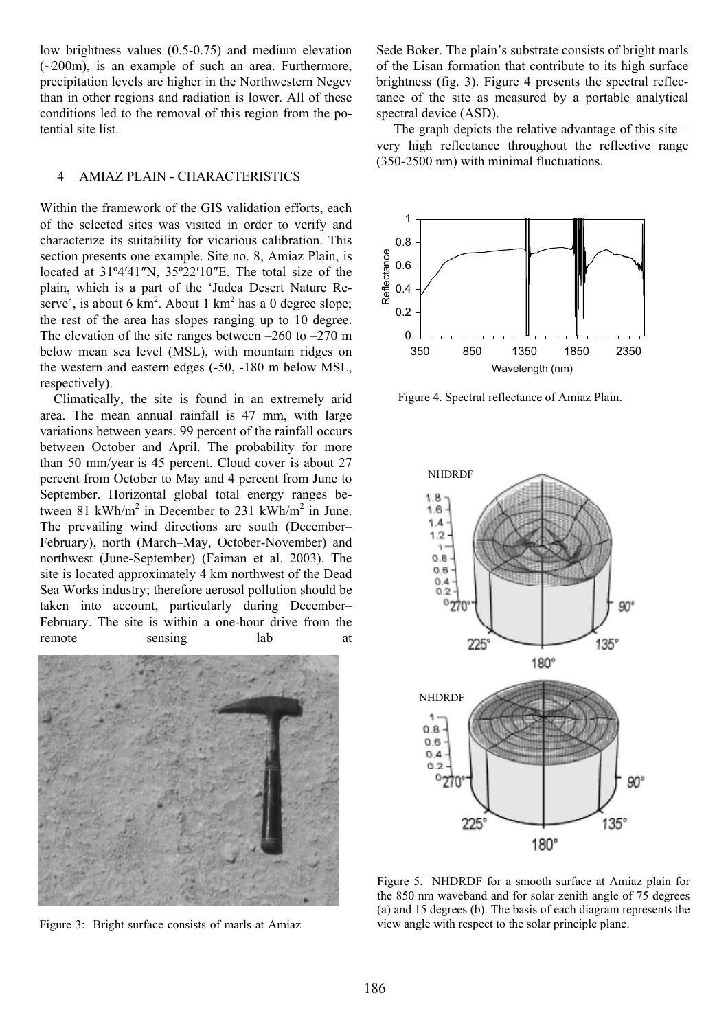low brightness values (0.5-0.75) and medium elevation (~200m), is an example of such an area. Furthermore, precipitation levels are higher in the Northwestern Negev than in other regions and radiation is lower. All of these conditions led to the removal of this region from the potential site list.

#### 4 AMIAZ PLAIN - CHARACTERISTICS

Within the framework of the GIS validation efforts, each of the selected sites was visited in order to verify and characterize its suitability for vicarious calibration. This section presents one example. Site no. 8, Amiaz Plain, is located at 31º4′41″N, 35º22′10″E. The total size of the plain, which is a part of the 'Judea Desert Nature Reserve', is about 6  $km^2$ . About 1  $km^2$  has a 0 degree slope; the rest of the area has slopes ranging up to 10 degree. The elevation of the site ranges between  $-260$  to  $-270$  m below mean sea level (MSL), with mountain ridges on the western and eastern edges (-50, -180 m below MSL, respectively).

Climatically, the site is found in an extremely arid area. The mean annual rainfall is 47 mm, with large variations between years. 99 percent of the rainfall occurs between October and April. The probability for more than 50 mm/year is 45 percent. Cloud cover is about 27 percent from October to May and 4 percent from June to September. Horizontal global total energy ranges between 81 kWh/m<sup>2</sup> in December to 231 kWh/m<sup>2</sup> in June. The prevailing wind directions are south (December– February), north (March–May, October-November) and northwest (June-September) (Faiman et al. 2003). The site is located approximately 4 km northwest of the Dead Sea Works industry; therefore aerosol pollution should be taken into account, particularly during December– February. The site is within a one-hour drive from the remote sensing lab at



Figure 3: Bright surface consists of marls at Amiaz

Sede Boker. The plain's substrate consists of bright marls of the Lisan formation that contribute to its high surface brightness (fig. 3). Figure 4 presents the spectral reflectance of the site as measured by a portable analytical spectral device (ASD).

The graph depicts the relative advantage of this site – very high reflectance throughout the reflective range (350-2500 nm) with minimal fluctuations.



Figure 4. Spectral reflectance of Amiaz Plain.



Figure 5. NHDRDF for a smooth surface at Amiaz plain for the 850 nm waveband and for solar zenith angle of 75 degrees (a) and 15 degrees (b). The basis of each diagram represents the view angle with respect to the solar principle plane.